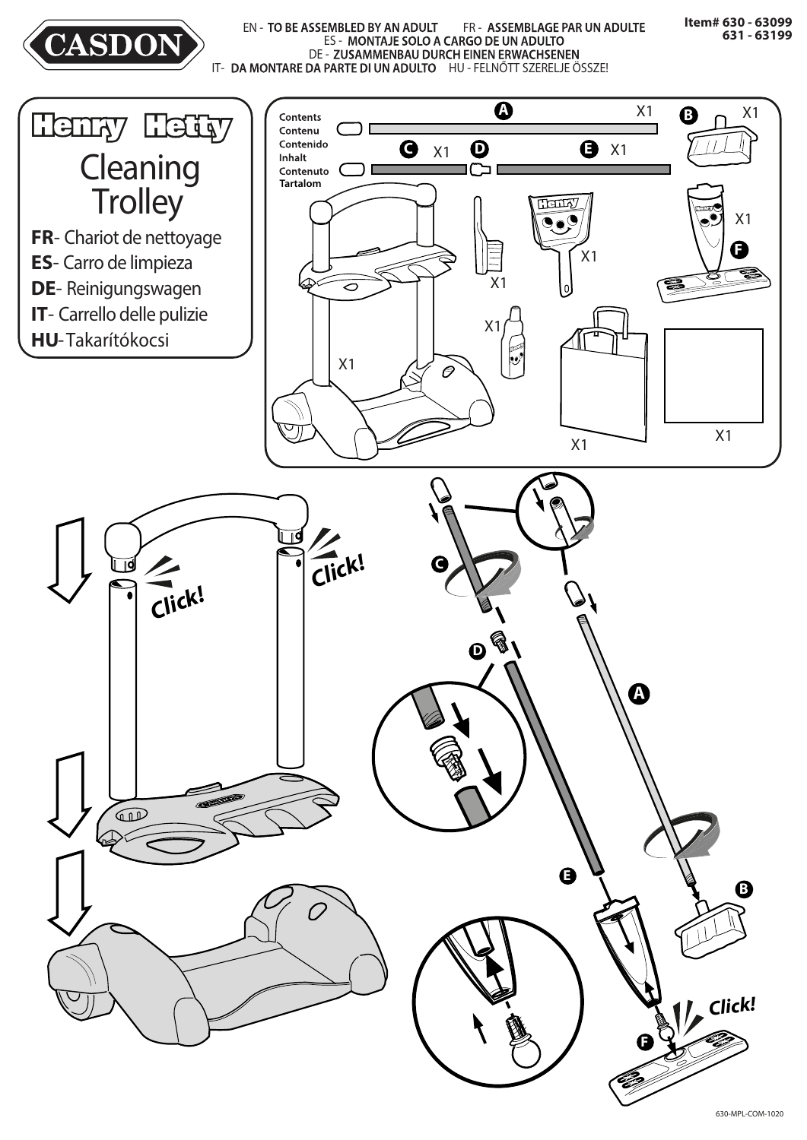

EN - TO BE ASSEMBLED BY AN ADULT FR - ASSEMBLAGE PAR UN ADULTE ES - MONTAJE SOLO A CARGO DE UN ADULTO DE - ZUSAMMENBAU DURCH EINEN ERWACHSENEN IT- DA MONTARE DA PARTE DI UN ADULTO HU - FELNŐTT SZERELJE ÖSSZE!